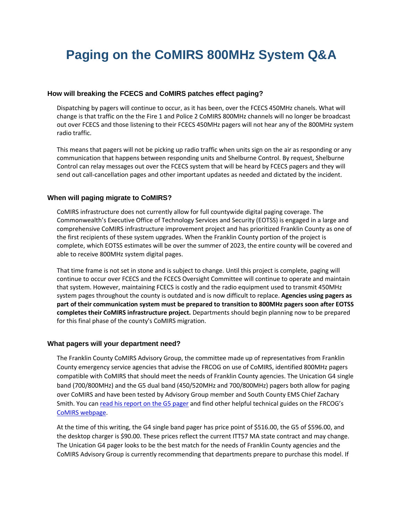# **Paging on the CoMIRS 800MHz System Q&A**

# **How will breaking the FCECS and CoMIRS patches effect paging?**

Dispatching by pagers will continue to occur, as it has been, over the FCECS 450MHz chanels. What will change is that traffic on the the Fire 1 and Police 2 CoMIRS 800MHz channels will no longer be broadcast out over FCECS and those listening to their FCECS 450MHz pagers will not hear any of the 800MHz system radio traffic.

This means that pagers will not be picking up radio traffic when units sign on the air as responding or any communication that happens between responding units and Shelburne Control. By request, Shelburne Control can relay messages out over the FCECS system that will be heard by FCECS pagers and they will send out call-cancellation pages and other important updates as needed and dictated by the incident.

## **When will paging migrate to CoMIRS?**

CoMIRS infrastructure does not currently allow for full countywide digital paging coverage. The Commonwealth's Executive Office of Technology Services and Security (EOTSS) is engaged in a large and comprehensive CoMIRS infrastructure improvement project and has prioritized Franklin County as one of the first recipients of these system upgrades. When the Franklin County portion of the project is complete, which EOTSS estimates will be over the summer of 2023, the entire county will be covered and able to receive 800MHz system digital pages.

That time frame is not set in stone and is subject to change. Until this project is complete, paging will continue to occur over FCECS and the FCECS Oversight Committee will continue to operate and maintain that system. However, maintaining FCECS is costly and the radio equipment used to transmit 450MHz system pages throughout the county is outdated and is now difficult to replace. **Agencies using pagers as part of their communication system must be prepared to transition to 800MHz pagers soon after EOTSS completes their CoMIRS infrastructure project.** Departments should begin planning now to be prepared for this final phase of the county's CoMIRS migration.

#### **What pagers will your department need?**

The Franklin County CoMIRS Advisory Group, the committee made up of representatives from Franklin County emergency service agencies that advise the FRCOG on use of CoMIRS, identified 800MHz pagers compatible with CoMIRS that should meet the needs of Franklin County agencies. The Unication G4 single band (700/800MHz) and the G5 dual band (450/520MHz and 700/800MHz) pagers both allow for paging over CoMIRS and have been tested by Advisory Group member and South County EMS Chief Zachary Smith. You can [read his report on the G5 pager](https://frcog.org/wp-content/uploads/2021/07/Report-on-Unication-G5-pager-for-use-with-CoMIRS-deployment-in-Franklin-County-Fire-and-EMS-agencies.pdf) and find other helpful technical guides on the FRCOG's [CoMIRS webpage.](https://frcog.org/comirs/)

At the time of this writing, the G4 single band pager has price point of \$516.00, the G5 of \$596.00, and the desktop charger is \$90.00. These prices reflect the current ITT57 MA state contract and may change. The Unication G4 pager looks to be the best match for the needs of Franklin County agencies and the CoMIRS Advisory Group is currently recommending that departments prepare to purchase this model. If